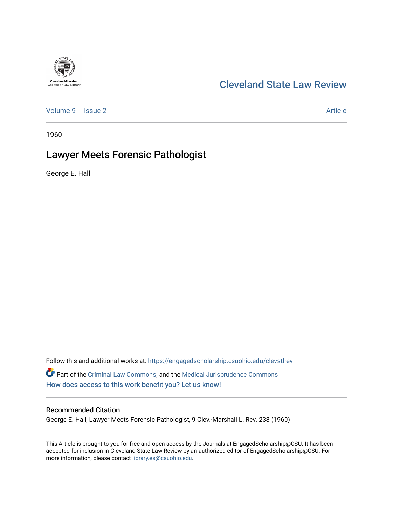# Cleveland-Marshall<br>College of Law Library

## [Cleveland State Law Review](https://engagedscholarship.csuohio.edu/clevstlrev)

[Volume 9](https://engagedscholarship.csuohio.edu/clevstlrev/vol9) | [Issue 2](https://engagedscholarship.csuohio.edu/clevstlrev/vol9/iss2) Article

1960

## Lawyer Meets Forensic Pathologist

George E. Hall

Follow this and additional works at: [https://engagedscholarship.csuohio.edu/clevstlrev](https://engagedscholarship.csuohio.edu/clevstlrev?utm_source=engagedscholarship.csuohio.edu%2Fclevstlrev%2Fvol9%2Fiss2%2F7&utm_medium=PDF&utm_campaign=PDFCoverPages) Part of the [Criminal Law Commons,](http://network.bepress.com/hgg/discipline/912?utm_source=engagedscholarship.csuohio.edu%2Fclevstlrev%2Fvol9%2Fiss2%2F7&utm_medium=PDF&utm_campaign=PDFCoverPages) and the [Medical Jurisprudence Commons](http://network.bepress.com/hgg/discipline/860?utm_source=engagedscholarship.csuohio.edu%2Fclevstlrev%2Fvol9%2Fiss2%2F7&utm_medium=PDF&utm_campaign=PDFCoverPages) [How does access to this work benefit you? Let us know!](http://library.csuohio.edu/engaged/)

#### Recommended Citation

George E. Hall, Lawyer Meets Forensic Pathologist, 9 Clev.-Marshall L. Rev. 238 (1960)

This Article is brought to you for free and open access by the Journals at EngagedScholarship@CSU. It has been accepted for inclusion in Cleveland State Law Review by an authorized editor of EngagedScholarship@CSU. For more information, please contact [library.es@csuohio.edu](mailto:library.es@csuohio.edu).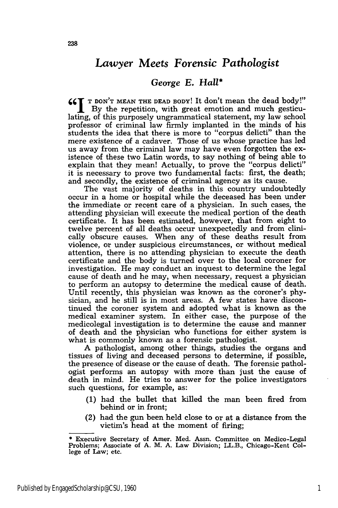### *Lawyer Meets Forensic Pathologist*

#### *George E. Hall\**

**661 T DON'T MEAN THE DEAD BODY!** It don't mean the dead body!" **j** By the repetition, with great emotion and much gesticulating, of this purposely ungrammatical statement, my law school professor of criminal law firmly implanted in the minds of his students the idea that there is more to "corpus delicti" than the mere existence of a cadaver. Those of us whose practice has led us away from the criminal law may have even forgotten the existence of these two Latin words, to say nothing of being able to explain that they mean! Actually, to prove the "corpus delicti" it is necessary to prove two fundamental facts: first, the death; and secondly, the existence of criminal agency as its cause.

The vast majority of deaths in this country undoubtedly occur in a home or hospital while the deceased has been under the immediate or recent care of a physician. In such cases, the attending physician will execute the medical portion of the death certificate. It has been estimated, however, that from eight to twelve percent of all deaths occur unexpectedly and from clinically obscure causes. When any of these deaths result from violence, or under suspicious circumstances, or without medical attention, there is no attending physician to execute the death certificate and the body is turned over to the local coroner for investigation. He may conduct an inquest to determine the legal cause of death and he may, when necessary, request a physician to perform an autopsy to determine the medical cause of death. Until recently, this physician was known as the coroner's physician, and he still is in most areas. A few states have discontinued the coroner system and adopted what is known as the medical examiner system. In either case, the purpose of the medicolegal investigation is to determine the cause and manner of death and the physician who functions for either system is what is commonly known as a forensic pathologist.

A pathologist, among other things, studies the organs and tissues of living and deceased persons to determine, if possible, the presence of disease or the cause of death. The forensic pathologist performs an autopsy with more than just the cause of death in mind. He tries to answer for the police investigators such questions, for example, as:

- (1) had the bullet that killed the man been fired from behind or in front;
- (2) had the gun been held close to or at a distance from the victim's head at the moment of firing;

<sup>\*</sup> Executive Secretary of Amer. Med. Assn. Committee on Medico-Legal Problems; Associate of A. M. A. Law Division; LL.B., Chicago-Kent College of Law; etc.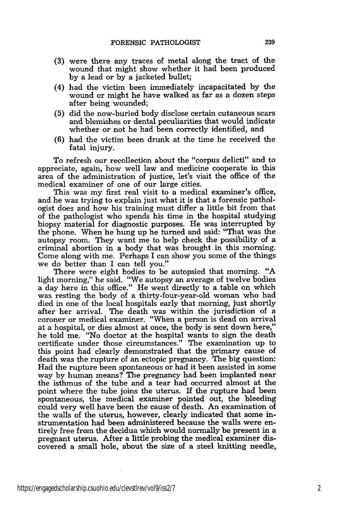- **(3)** were there any traces of metal along the tract of the wound that might show whether it had been produced by a lead or by a jacketed bullet;
- (4) had the victim been immediately incapacitated by the wound or might he have walked as far as a dozen steps after being wounded;
- (5) did the now-buried body disclose certain cutaneous scars and blemishes or dental peculiarities that would indicate whether or not he had been correctly identified, and
- (6) had the victim been drunk at the time he received the fatal injury.

To refresh our recollection about the "corpus delicti" and to appreciate, again, how well law and medicine cooperate in this area of the administration of justice, let's visit the office of the medical examiner of one of our large cities.

This was my first real visit to a medical examiner's office, and he was trying to explain just what it is that a forensic pathologist does and how his training must differ a little bit from that of the pathologist who spends his time in the hospital studying biopsy material for diagnostic purposes. He was interrupted by the phone. When he hung up he turned and said: "That was the autopsy room. They want me to help check the possibility of a criminal abortion in a body that was brought in this morning. Come along with me. Perhaps I can show you some of the things we do better than I can tell you."

There were eight bodies to be autopsied that morning. "A light morning," he said. "We autopsy an average of twelve bodies a day here in this office." He went directly to a table on which was resting the body of a thirty-four-year-old woman who had died in one of the local hospitals early that morning, just shortly after her arrival. The death was within the jurisdiction of a coroner or medical examiner. "When a person is dead on arrival at a hospital, or dies almost at once, the body is sent down here," he told me. "No doctor at the hospital wants to sign the death certificate under those circumstances." The examination up to this point had clearly demonstrated that the primary cause of death was the rupture of an ectopic pregnancy. The big question: Had the rupture been spontaneous or had it been assisted in some way by human means? The pregnancy had been implanted near the isthmus of the tube and a tear had occurred almost at the point where the tube joins the uterus. If the rupture had been spontaneous, the medical examiner pointed out, the bleeding could very well have been the cause of death. An examination of the walls of the uterus, however, clearly indicated that some instrumentation had been administered because the walls were entirely free from the decidua which would normally be present in a pregnant uterus. After a little probing the medical examiner discovered a small hole, about the size of a steel knitting needle,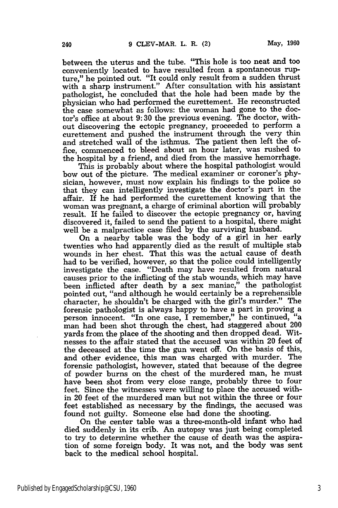between the uterus and the tube. "This hole is too neat and too conveniently located to have resulted from a spontaneous rupture," he pointed out. "It could only result from a sudden thrust with a sharp instrument." After consultation with his assistant pathologist, he concluded that the hole had been made by the physician who had performed the curettement. He reconstructed the case somewhat as follows: the woman had gone to the doctor's office at about 9:30 the previous evening. The doctor, without discovering the ectopic pregnancy, proceeded to perform a curettement and pushed the instrument through the very thin and stretched wall of the isthmus. The patient then left the office, commenced to bleed about an hour later, was rushed to the hospital by a friend, and died from the massive hemorrhage.

This is probably about where the hospital pathologist would bow out of the picture. The medical examiner or coroner's physician, however, must now explain his findings to the police so that they can intelligently investigate the doctor's part in the affair. If he had performed the curettement knowing that the woman was pregnant, a charge of criminal abortion will probably result. If he failed to discover the ectopic pregnancy or, having discovered it, failed to send the patient to a hospital, there might well be a malpractice case filed by the surviving husband.

On a nearby table was the body of a girl in her early twenties who had apparently died as the result of multiple stab wounds in her chest. That this was the actual cause of death had to be verified, however, so that the police could intelligently investigate the case. "Death may have resulted from natural causes prior to the inflicting of the stab wounds, which may have been inflicted after death by a sex maniac," the pathologist pointed out, "and although he would certainly be a reprehensible character, he shouldn't be charged with the girl's murder." The forensic pathologist is always happy to have a part in proving a person innocent. "In one case, I remember," he continued, "a man had been shot through the chest, had staggered about 200 yards from the place of the shooting and then dropped dead. Witnesses to the affair stated that the accused was within 20 feet of the deceased at the time the gun went off. On the basis of this, and other evidence, this man was charged with murder. The forensic pathologist, however, stated that because of the degree of powder burns on the chest of the murdered man, he must have been shot from very close range, probably three to four feet. Since the witnesses were willing to place the accused within 20 feet of the murdered man but not within the three or four feet established as necessary by the findings, the accused was found not guilty. Someone else had done the shooting.

On the center table was a three-month-old infant who had died suddenly in its crib. An autopsy was just being completed to try to determine whether the cause of death was the aspiration of some foreign body. It was not, and the body was sent back to the medical school hospital.

240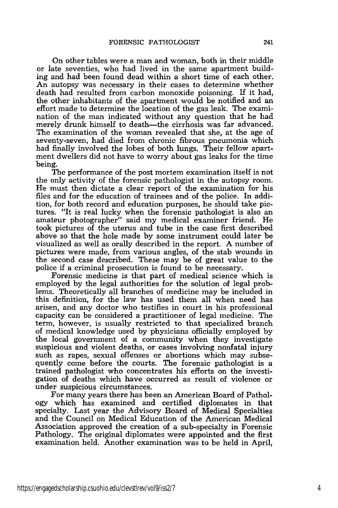On other tables were a man and woman, both in their middle or late seventies, who had lived in the same apartment building and had been found dead within a short time of each other. An autopsy was necessary in their cases to determine whether death had resulted from carbon monoxide poisoning. If it had, the other inhabitants of the apartment would be notified and an effort made to determine the location of the gas leak. The examination of the man indicated without any question that he had merely drunk himself to death—the cirrhosis was far advanced. The examination of the woman revealed that she, at the age of seventy-seven, had died from chronic fibrous pneumonia which had finally involved the lobes of both lungs. Their fellow apartment dwellers did not have to worry about gas leaks for the time being.

The performance of the post mortem examination itself is not the only activity of the forensic pathologist in the autopsy room. He must then dictate a clear report of the examination for his files and for the education of trainees and of the police. In addition, for both record and education purposes, he should take pictures. "It is real lucky when the forensic pathologist is also an amateur photographer" said my medical examiner friend. He took pictures of the uterus and tube in the case first described above so that the hole made by some instrument could later be visualized as well as orally described in the report. A number of pictures were made, from various angles, of the stab wounds in the second case described. These may be of great value to the police if a criminal prosecution is found to be necessary.

Forensic medicine is that part of medical science which is employed by the legal authorities for the solution of legal prob- lems. Theoretically all branches of medicine may be included in this definition, for the law has used them all when need has arisen, and any doctor who testifies in court in his professional capacity can be considered a practitioner of legal medicine. The term, however, is usually restricted to that specialized branch of medical knowledge used by physicians officially employed by the local government of a community when they investigate suspicious and violent deaths, or cases involving nonfatal injury such as rapes, sexual offenses or abortions which may subsequently come before the courts. The forensic pathologist is a trained pathologist who concentrates his efforts on the investigation of deaths which have occurred as result of violence or under suspicious circumstances.

For many years there has been an American Board of Pathology which has examined and certified diplomates in that specialty. Last year the Advisory Board of Medical Specialties and the Council on Medical Education of the American Medical Association approved the creation of a sub-specialty in Forensic Pathology. The original diplomates were appointed and the first examination held. Another examination was to be held in April,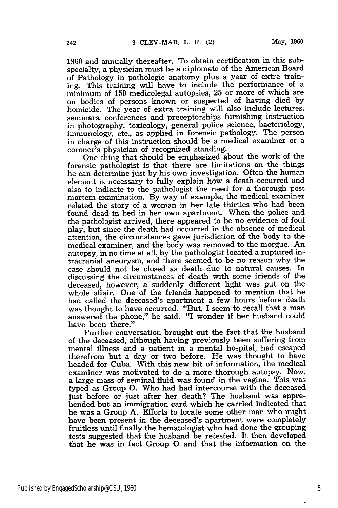1960 and annually thereafter. To obtain certification in this subspecialty, a physician must be a diplomate of the American Board of Pathology in pathologic anatomy plus a year of extra training. This training will have to include the performance of a minimum of 150 medicolegal autopsies, 25 or more of which are on bodies of persons known or suspected of having died by homicide. The year of extra training will also include lectures, seminars, conferences and preceptorships furnishing instruction in photography, toxicology, general police science, bacteriology, immunology, etc., as applied in forensic pathology. The person in charge of this instruction should be a medical examiner or a coroner's physician of recognized standing.

One thing that should be emphasized about the work of the forensic pathologist is that there are limitations on the things he can determine just by his own investigation. Often the human element is necessary to fully explain how a death occurred and also to indicate to the pathologist the need for a thorough post mortem examination. By way of example, the medical examiner related the story of a woman in her late thirties who had been found dead in bed in her own apartment. When the police and the pathologist arrived, there appeared to be no evidence of foul play, but since the death had occurred in the absence of medical attention, the circumstances gave jurisdiction of the body to the medical examiner, and the body was removed to the morgue. An autopsy, in no time at all, by the pathologist located a ruptured intracranial aneurysm, and there seemed to be no reason why the case should not be closed as death due to natural causes. In discussing the circumstances of death with some friends of the deceased, however, a suddenly different light was put on the whole affair. One of the friends happened to mention that he had called the deceased's apartment a few hours before death was thought to have occurred. "But, I seem to recall that a man answered the phone," he said. "I wonder if her husband could have been there."

Further conversation brought out the fact that the husband of the deceased, although having previously been suffering from mental illness and a patient in a mental hospital, had escaped therefrom but a day or two before. He was thought to have headed for Cuba. With this new bit of information, the medical examiner was motivated to do a more thorough autopsy. Now, a large mass of seminal fluid was found in the vagina. This was typed as Group **0.** Who had had intercourse with the deceased just before or just after her death? The husband was apprehended but an immigration card which he carried indicated that he was a Group A. Efforts to locate some other man who might have been present in the deceased's apartment were completely fruitless until finally the hematologist who had done the grouping tests suggested that the husband be retested. It then developed that he was in fact Group **0** and that the information on the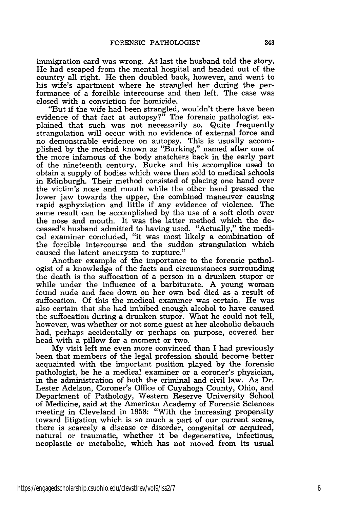immigration card was wrong. At last the husband told the story. He had escaped from the mental hospital and headed out of the country all right. He then doubled back, however, and went to his wife's apartment where he strangled her during the performance of a forcible intercourse and then left. The case was closed with a conviction for homicide.

"But if the wife had been strangled, wouldn't there have been evidence of that fact at autopsy?" The forensic pathologist explained that such was not necessarily so. Quite frequently strangulation will occur with no evidence of external force and no demonstrable evidence on autopsy. This is usually accomplished by the method known as "Burking," named after one of the more infamous of the body snatchers back in the early part of the nineteenth century. Burke and his accomplice used to obtain a supply of bodies which were then sold to medical schools in Edinburgh. Their method consisted of placing one hand over the victim's nose and mouth while the other hand pressed the lower jaw towards the upper, the combined maneuver causing rapid asphyxiation and little if any evidence of violence. The same result can be accomplished by the use of a soft cloth over the nose and mouth. It was the latter method which the deceased's husband admitted to having used. "Actually," the medical examiner concluded, "it was most likely a combination of the forcible intercourse and the sudden strangulation which caused the latent aneurysm to rupture."

Another example of the importance to the forensic pathologist of a knowledge of the facts and circumstances surrounding the death is the suffocation of a person in a drunken stupor or while under the influence of a barbiturate. A young woman found nude and face down on her own bed died as a result of suffocation. Of this the medical examiner was certain. He was also certain that she had imbibed enough alcohol to have caused the suffocation during a drunken stupor. What he could not tell, however, was whether or not some guest at her alcoholic debauch had, perhaps accidentally or perhaps on purpose, covered her head with a pillow for a moment or two.

My visit left me even more convinced than I had previously been that members of the legal profession should become better acquainted with the important position played by the forensic pathologist, be he a medical examiner or a coroner's physician, in the administration of both the criminal and civil law. As Dr. Lester Adelson, Coroner's Office of Cuyahoga County, Ohio, and Department of Pathology, Western Reserve University School of Medicine, said at the American Academy of Forensic Sciences meeting in Cleveland in 1958: "With the increasing propensity toward litigation which is so much a part of our current scene, there is scarcely a disease or disorder, congenital or acquired, natural or traumatic, whether it be degenerative, infectious, neoplastic or metabolic, which has not moved from its usual